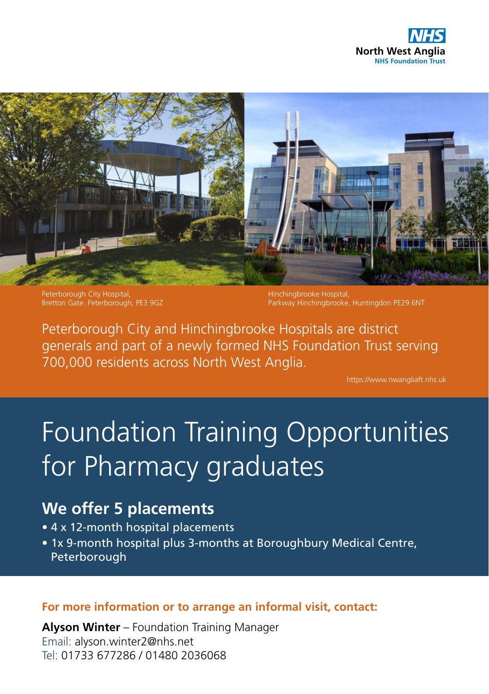



Peterborough City Hospital, Bretton Gate. Peterborough, PE3 9GZ

Hinchingbrooke Hospital, Parkway Hinchingbrooke, Huntingdon PE29 6NT

Peterborough City and Hinchingbrooke Hospitals are district generals and part of a newly formed NHS Foundation Trust serving 700,000 residents across North West Anglia.

https://www.nwangliaft.nhs.uk

# Foundation Training Opportunities for Pharmacy graduates

# **We offer 5 placements**

- 4 x 12-month hospital placements
- 1x 9-month hospital plus 3-months at Boroughbury Medical Centre, Peterborough

# **For more information or to arrange an informal visit, contact:**

**Alyson Winter** – Foundation Training Manager Email: alyson.winter2@nhs.net Tel: 01733 677286 / 01480 2036068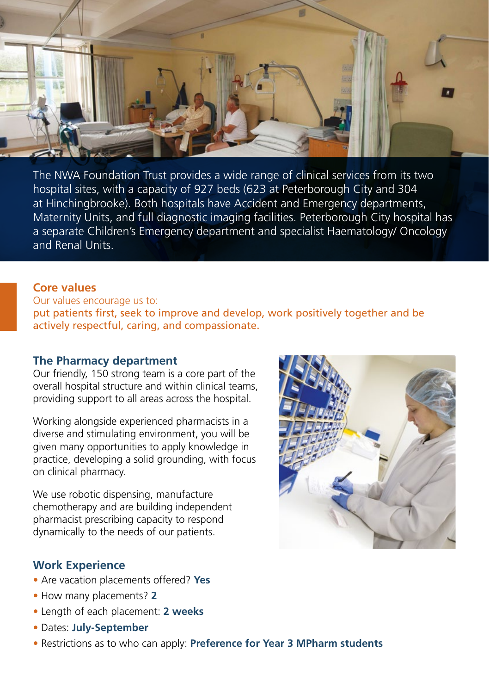

The NWA Foundation Trust provides a wide range of clinical services from its two hospital sites, with a capacity of 927 beds (623 at Peterborough City and 304 at Hinchingbrooke). Both hospitals have Accident and Emergency departments, Maternity Units, and full diagnostic imaging facilities. Peterborough City hospital has a separate Children's Emergency department and specialist Haematology/ Oncology and Renal Units.

#### **Core values**

Our values encourage us to: put patients first, seek to improve and develop, work positively together and be actively respectful, caring, and compassionate.

# **The Pharmacy department**

Our friendly, 150 strong team is a core part of the overall hospital structure and within clinical teams, providing support to all areas across the hospital.

Working alongside experienced pharmacists in a diverse and stimulating environment, you will be given many opportunities to apply knowledge in practice, developing a solid grounding, with focus on clinical pharmacy.

We use robotic dispensing, manufacture chemotherapy and are building independent pharmacist prescribing capacity to respond dynamically to the needs of our patients.

# **Work Experience**

- Are vacation placements offered? **Yes**
- How many placements? **2**
- Length of each placement: **2 weeks**
- Dates: **July-September**
- Restrictions as to who can apply: **Preference for Year 3 MPharm students**